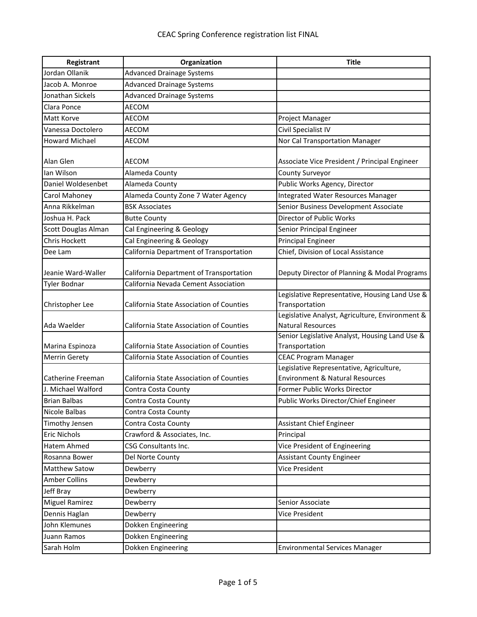| Registrant            | Organization                                    | <b>Title</b>                                                                |
|-----------------------|-------------------------------------------------|-----------------------------------------------------------------------------|
| Jordan Ollanik        | <b>Advanced Drainage Systems</b>                |                                                                             |
| Jacob A. Monroe       | <b>Advanced Drainage Systems</b>                |                                                                             |
| Jonathan Sickels      | <b>Advanced Drainage Systems</b>                |                                                                             |
| Clara Ponce           | AECOM                                           |                                                                             |
| Matt Korve            | AECOM                                           | Project Manager                                                             |
| Vanessa Doctolero     | AECOM                                           | Civil Specialist IV                                                         |
| <b>Howard Michael</b> | AECOM                                           | Nor Cal Transportation Manager                                              |
|                       |                                                 |                                                                             |
| Alan Glen             | AECOM                                           | Associate Vice President / Principal Engineer                               |
| lan Wilson            | Alameda County                                  | County Surveyor                                                             |
| Daniel Woldesenbet    | Alameda County                                  | Public Works Agency, Director                                               |
| Carol Mahoney         | Alameda County Zone 7 Water Agency              | Integrated Water Resources Manager                                          |
| Anna Rikkelman        | <b>BSK Associates</b>                           | Senior Business Development Associate                                       |
| Joshua H. Pack        | <b>Butte County</b>                             | Director of Public Works                                                    |
| Scott Douglas Alman   | Cal Engineering & Geology                       | Senior Principal Engineer                                                   |
| <b>Chris Hockett</b>  | Cal Engineering & Geology                       | <b>Principal Engineer</b>                                                   |
| Dee Lam               | California Department of Transportation         | Chief, Division of Local Assistance                                         |
|                       |                                                 |                                                                             |
| Jeanie Ward-Waller    | California Department of Transportation         | Deputy Director of Planning & Modal Programs                                |
| <b>Tyler Bodnar</b>   | California Nevada Cement Association            |                                                                             |
|                       |                                                 | Legislative Representative, Housing Land Use &                              |
| Christopher Lee       | California State Association of Counties        | Transportation                                                              |
| Ada Waelder           | <b>California State Association of Counties</b> | Legislative Analyst, Agriculture, Environment &<br><b>Natural Resources</b> |
|                       |                                                 | Senior Legislative Analyst, Housing Land Use &                              |
| Marina Espinoza       | <b>California State Association of Counties</b> | Transportation                                                              |
| Merrin Gerety         | California State Association of Counties        | <b>CEAC Program Manager</b>                                                 |
|                       |                                                 | Legislative Representative, Agriculture,                                    |
| Catherine Freeman     | <b>California State Association of Counties</b> | <b>Environment &amp; Natural Resources</b>                                  |
| J. Michael Walford    | Contra Costa County                             | Former Public Works Director                                                |
| <b>Brian Balbas</b>   | Contra Costa County                             | Public Works Director/Chief Engineer                                        |
| Nicole Balbas         | Contra Costa County                             |                                                                             |
| Timothy Jensen        | Contra Costa County                             | Assistant Chief Engineer                                                    |
| <b>Eric Nichols</b>   | Crawford & Associates, Inc.                     | Principal                                                                   |
| Hatem Ahmed           | CSG Consultants Inc.                            | Vice President of Engineering                                               |
| Rosanna Bower         | Del Norte County                                | <b>Assistant County Engineer</b>                                            |
| Matthew Satow         | Dewberry                                        | Vice President                                                              |
| <b>Amber Collins</b>  | Dewberry                                        |                                                                             |
| Jeff Bray             | Dewberry                                        |                                                                             |
| <b>Miguel Ramirez</b> | Dewberry                                        | Senior Associate                                                            |
| Dennis Haglan         | Dewberry                                        | Vice President                                                              |
| John Klemunes         | Dokken Engineering                              |                                                                             |
| Juann Ramos           | Dokken Engineering                              |                                                                             |
| Sarah Holm            | Dokken Engineering                              | <b>Environmental Services Manager</b>                                       |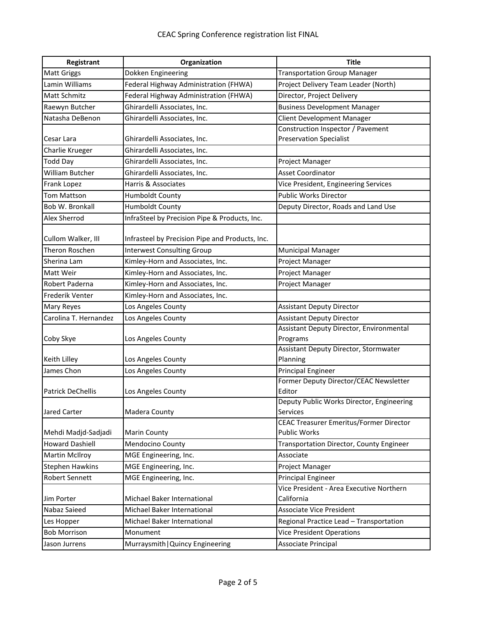| Registrant               | Organization                                    | <b>Title</b>                                               |
|--------------------------|-------------------------------------------------|------------------------------------------------------------|
| <b>Matt Griggs</b>       | Dokken Engineering                              | <b>Transportation Group Manager</b>                        |
| Lamin Williams           | Federal Highway Administration (FHWA)           | Project Delivery Team Leader (North)                       |
| <b>Matt Schmitz</b>      | Federal Highway Administration (FHWA)           | Director, Project Delivery                                 |
| Raewyn Butcher           | Ghirardelli Associates, Inc.                    | <b>Business Development Manager</b>                        |
| Natasha DeBenon          | Ghirardelli Associates, Inc.                    | <b>Client Development Manager</b>                          |
|                          |                                                 | Construction Inspector / Pavement                          |
| Cesar Lara               | Ghirardelli Associates, Inc.                    | <b>Preservation Specialist</b>                             |
| Charlie Krueger          | Ghirardelli Associates, Inc.                    |                                                            |
| <b>Todd Day</b>          | Ghirardelli Associates, Inc.                    | Project Manager                                            |
| William Butcher          | Ghirardelli Associates, Inc.                    | <b>Asset Coordinator</b>                                   |
| Frank Lopez              | Harris & Associates                             | Vice President, Engineering Services                       |
| <b>Tom Mattson</b>       | Humboldt County                                 | <b>Public Works Director</b>                               |
| Bob W. Bronkall          | <b>Humboldt County</b>                          | Deputy Director, Roads and Land Use                        |
| <b>Alex Sherrod</b>      | InfraSteel by Precision Pipe & Products, Inc.   |                                                            |
| Cullom Walker, III       | Infrasteel by Precision Pipe and Products, Inc. |                                                            |
| Theron Roschen           | <b>Interwest Consulting Group</b>               | <b>Municipal Manager</b>                                   |
| Sherina Lam              | Kimley-Horn and Associates, Inc.                | Project Manager                                            |
| Matt Weir                | Kimley-Horn and Associates, Inc.                | Project Manager                                            |
| Robert Paderna           | Kimley-Horn and Associates, Inc.                | Project Manager                                            |
| <b>Frederik Venter</b>   | Kimley-Horn and Associates, Inc.                |                                                            |
| <b>Mary Reyes</b>        | Los Angeles County                              | <b>Assistant Deputy Director</b>                           |
| Carolina T. Hernandez    | Los Angeles County                              | <b>Assistant Deputy Director</b>                           |
|                          |                                                 | Assistant Deputy Director, Environmental                   |
| Coby Skye                | Los Angeles County                              | Programs                                                   |
|                          |                                                 | Assistant Deputy Director, Stormwater                      |
| Keith Lilley             | Los Angeles County                              | Planning                                                   |
| James Chon               | Los Angeles County                              | <b>Principal Engineer</b>                                  |
|                          |                                                 | Former Deputy Director/CEAC Newsletter                     |
| <b>Patrick DeChellis</b> | Los Angeles County                              | Editor                                                     |
|                          |                                                 | Deputy Public Works Director, Engineering                  |
| Jared Carter             | Madera County                                   | Services<br><b>CEAC Treasurer Emeritus/Former Director</b> |
| Mehdi Madjd-Sadjadi      | <b>Marin County</b>                             | <b>Public Works</b>                                        |
| <b>Howard Dashiell</b>   | Mendocino County                                | Transportation Director, County Engineer                   |
| <b>Martin McIlroy</b>    | MGE Engineering, Inc.                           | Associate                                                  |
| <b>Stephen Hawkins</b>   | MGE Engineering, Inc.                           | Project Manager                                            |
| <b>Robert Sennett</b>    | MGE Engineering, Inc.                           | <b>Principal Engineer</b>                                  |
|                          |                                                 | Vice President - Area Executive Northern                   |
| Jim Porter               | Michael Baker International                     | California                                                 |
| Nabaz Saieed             | Michael Baker International                     | <b>Associate Vice President</b>                            |
| Les Hopper               | Michael Baker International                     | Regional Practice Lead - Transportation                    |
| <b>Bob Morrison</b>      | Monument                                        | <b>Vice President Operations</b>                           |
| Jason Jurrens            | Murraysmith   Quincy Engineering                | Associate Principal                                        |
|                          |                                                 |                                                            |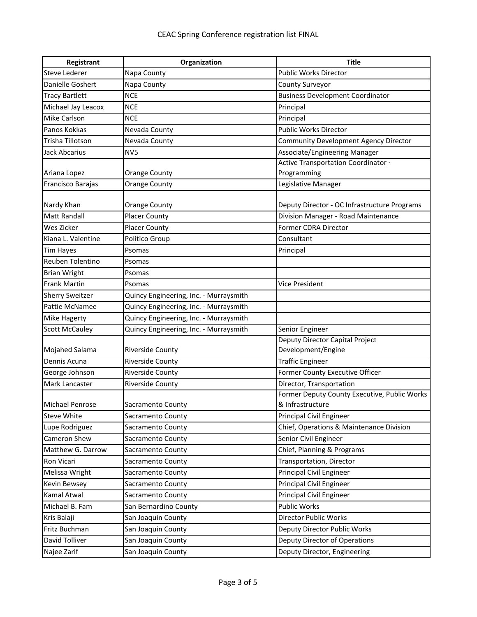| Registrant             | Organization                           | <b>Title</b>                                 |
|------------------------|----------------------------------------|----------------------------------------------|
| <b>Steve Lederer</b>   | Napa County                            | <b>Public Works Director</b>                 |
| Danielle Goshert       | Napa County                            | County Surveyor                              |
| <b>Tracy Bartlett</b>  | <b>NCE</b>                             | <b>Business Development Coordinator</b>      |
| Michael Jay Leacox     | <b>NCE</b>                             | Principal                                    |
| <b>Mike Carlson</b>    | <b>NCE</b>                             | Principal                                    |
| Panos Kokkas           | Nevada County                          | <b>Public Works Director</b>                 |
| Trisha Tillotson       | Nevada County                          | Community Development Agency Director        |
| <b>Jack Abcarius</b>   | NV <sub>5</sub>                        | Associate/Engineering Manager                |
|                        |                                        | Active Transportation Coordinator ·          |
| Ariana Lopez           | Orange County                          | Programming                                  |
| Francisco Barajas      | <b>Orange County</b>                   | Legislative Manager                          |
|                        |                                        |                                              |
| Nardy Khan             | <b>Orange County</b>                   | Deputy Director - OC Infrastructure Programs |
| <b>Matt Randall</b>    | <b>Placer County</b>                   | Division Manager - Road Maintenance          |
| Wes Zicker             | <b>Placer County</b>                   | Former CDRA Director                         |
| Kiana L. Valentine     | Politico Group                         | Consultant                                   |
| <b>Tim Hayes</b>       | Psomas                                 | Principal                                    |
| Reuben Tolentino       | Psomas                                 |                                              |
| <b>Brian Wright</b>    | Psomas                                 |                                              |
| <b>Frank Martin</b>    | Psomas                                 | Vice President                               |
| <b>Sherry Sweitzer</b> | Quincy Engineering, Inc. - Murraysmith |                                              |
| <b>Pattie McNamee</b>  | Quincy Engineering, Inc. - Murraysmith |                                              |
| <b>Mike Hagerty</b>    | Quincy Engineering, Inc. - Murraysmith |                                              |
| <b>Scott McCauley</b>  | Quincy Engineering, Inc. - Murraysmith | Senior Engineer                              |
|                        |                                        | Deputy Director Capital Project              |
| Mojahed Salama         | <b>Riverside County</b>                | Development/Engine                           |
| Dennis Acuna           | <b>Riverside County</b>                | <b>Traffic Engineer</b>                      |
| George Johnson         | Riverside County                       | Former County Executive Officer              |
| Mark Lancaster         | Riverside County                       | Director, Transportation                     |
|                        |                                        | Former Deputy County Executive, Public Works |
| <b>Michael Penrose</b> | Sacramento County                      | & Infrastructure                             |
| <b>Steve White</b>     | Sacramento County                      | Principal Civil Engineer                     |
| Lupe Rodriguez         | Sacramento County                      | Chief, Operations & Maintenance Division     |
| Cameron Shew           | Sacramento County                      | Senior Civil Engineer                        |
| Matthew G. Darrow      | Sacramento County                      | Chief, Planning & Programs                   |
| Ron Vicari             | Sacramento County                      | Transportation, Director                     |
| Melissa Wright         | Sacramento County                      | Principal Civil Engineer                     |
| <b>Kevin Bewsey</b>    | Sacramento County                      | Principal Civil Engineer                     |
| Kamal Atwal            | Sacramento County                      | Principal Civil Engineer                     |
| Michael B. Fam         | San Bernardino County                  | <b>Public Works</b>                          |
| Kris Balaji            | San Joaquin County                     | <b>Director Public Works</b>                 |
| Fritz Buchman          | San Joaquin County                     | Deputy Director Public Works                 |
| David Tolliver         | San Joaquin County                     | Deputy Director of Operations                |
| Najee Zarif            | San Joaquin County                     | Deputy Director, Engineering                 |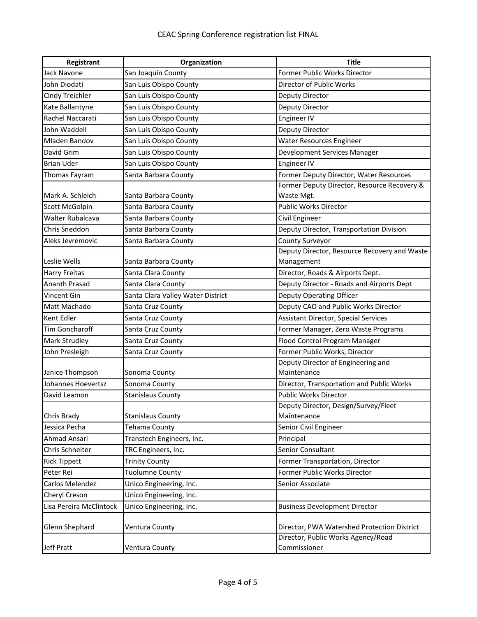| Registrant              | Organization                      | <b>Title</b>                                 |
|-------------------------|-----------------------------------|----------------------------------------------|
| <b>Jack Navone</b>      | San Joaquin County                | Former Public Works Director                 |
| John Diodati            | San Luis Obispo County            | Director of Public Works                     |
| Cindy Treichler         | San Luis Obispo County            | Deputy Director                              |
| Kate Ballantyne         | San Luis Obispo County            | Deputy Director                              |
| Rachel Naccarati        | San Luis Obispo County            | Engineer IV                                  |
| John Waddell            | San Luis Obispo County            | Deputy Director                              |
| <b>Mladen Bandov</b>    | San Luis Obispo County            | <b>Water Resources Engineer</b>              |
| David Grim              | San Luis Obispo County            | Development Services Manager                 |
| <b>Brian Uder</b>       | San Luis Obispo County            | Engineer IV                                  |
| <b>Thomas Fayram</b>    | Santa Barbara County              | Former Deputy Director, Water Resources      |
|                         |                                   | Former Deputy Director, Resource Recovery &  |
| Mark A. Schleich        | Santa Barbara County              | Waste Mgt.                                   |
| Scott McGolpin          | Santa Barbara County              | <b>Public Works Director</b>                 |
| Walter Rubalcava        | Santa Barbara County              | Civil Engineer                               |
| Chris Sneddon           | Santa Barbara County              | Deputy Director, Transportation Division     |
| Aleks Jevremovic        | Santa Barbara County              | County Surveyor                              |
|                         |                                   | Deputy Director, Resource Recovery and Waste |
| Leslie Wells            | Santa Barbara County              | Management                                   |
| <b>Harry Freitas</b>    | Santa Clara County                | Director, Roads & Airports Dept.             |
| <b>Ananth Prasad</b>    | Santa Clara County                | Deputy Director - Roads and Airports Dept    |
| Vincent Gin             | Santa Clara Valley Water District | Deputy Operating Officer                     |
| Matt Machado            | Santa Cruz County                 | Deputy CAO and Public Works Director         |
| Kent Edler              | Santa Cruz County                 | Assistant Director, Special Services         |
| <b>Tim Goncharoff</b>   | Santa Cruz County                 | Former Manager, Zero Waste Programs          |
| <b>Mark Strudley</b>    | Santa Cruz County                 | Flood Control Program Manager                |
| John Presleigh          | Santa Cruz County                 | Former Public Works, Director                |
|                         |                                   | Deputy Director of Engineering and           |
| Janice Thompson         | Sonoma County                     | Maintenance                                  |
| Johannes Hoevertsz      | Sonoma County                     | Director, Transportation and Public Works    |
| David Leamon            | <b>Stanislaus County</b>          | Public Works Director                        |
|                         |                                   | Deputy Director, Design/Survey/Fleet         |
| Chris Brady             | <b>Stanislaus County</b>          | Maintenance                                  |
| Jessica Pecha           | Tehama County                     | Senior Civil Engineer                        |
| Ahmad Ansari            | Transtech Engineers, Inc.         | Principal                                    |
| Chris Schneiter         | TRC Engineers, Inc.               | Senior Consultant                            |
| <b>Rick Tippett</b>     | <b>Trinity County</b>             | Former Transportation, Director              |
| Peter Rei               | <b>Tuolumne County</b>            | Former Public Works Director                 |
| Carlos Melendez         | Unico Engineering, Inc.           | Senior Associate                             |
| Cheryl Creson           | Unico Engineering, Inc.           |                                              |
| Lisa Pereira McClintock | Unico Engineering, Inc.           | <b>Business Development Director</b>         |
| Glenn Shephard          | Ventura County                    | Director, PWA Watershed Protection District  |
|                         |                                   | Director, Public Works Agency/Road           |
| Jeff Pratt              | Ventura County                    | Commissioner                                 |